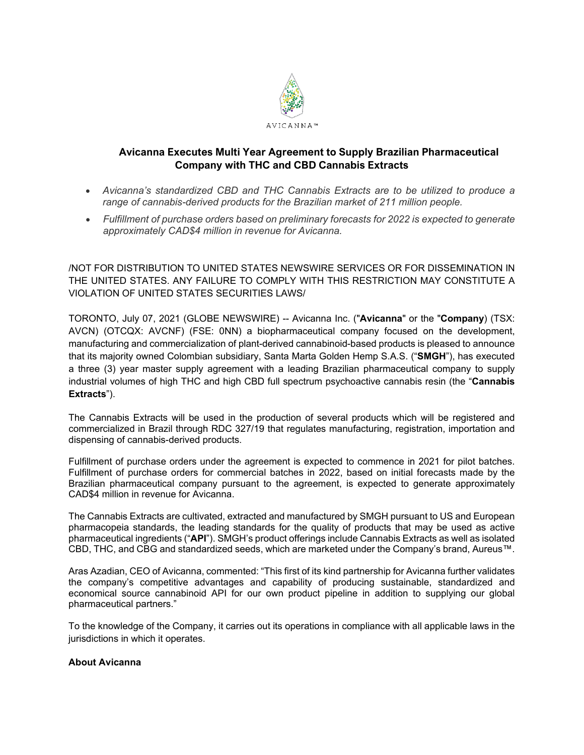

## **Avicanna Executes Multi Year Agreement to Supply Brazilian Pharmaceutical Company with THC and CBD Cannabis Extracts**

- *Avicanna's standardized CBD and THC Cannabis Extracts are to be utilized to produce a range of cannabis-derived products for the Brazilian market of 211 million people.*
- *Fulfillment of purchase orders based on preliminary forecasts for 2022 is expected to generate approximately CAD\$4 million in revenue for Avicanna.*

/NOT FOR DISTRIBUTION TO UNITED STATES NEWSWIRE SERVICES OR FOR DISSEMINATION IN THE UNITED STATES. ANY FAILURE TO COMPLY WITH THIS RESTRICTION MAY CONSTITUTE A VIOLATION OF UNITED STATES SECURITIES LAWS/

TORONTO, July 07, 2021 (GLOBE NEWSWIRE) -- Avicanna Inc. ("**Avicanna**" or the "**Company**) (TSX: AVCN) (OTCQX: AVCNF) (FSE: 0NN) a biopharmaceutical company focused on the development, manufacturing and commercialization of plant-derived cannabinoid-based products is pleased to announce that its majority owned Colombian subsidiary, Santa Marta Golden Hemp S.A.S. ("**SMGH**"), has executed a three (3) year master supply agreement with a leading Brazilian pharmaceutical company to supply industrial volumes of high THC and high CBD full spectrum psychoactive cannabis resin (the "**Cannabis Extracts**").

The Cannabis Extracts will be used in the production of several products which will be registered and commercialized in Brazil through RDC 327/19 that regulates manufacturing, registration, importation and dispensing of cannabis-derived products.

Fulfillment of purchase orders under the agreement is expected to commence in 2021 for pilot batches. Fulfillment of purchase orders for commercial batches in 2022, based on initial forecasts made by the Brazilian pharmaceutical company pursuant to the agreement, is expected to generate approximately CAD\$4 million in revenue for Avicanna.

The Cannabis Extracts are cultivated, extracted and manufactured by SMGH pursuant to US and European pharmacopeia standards, the leading standards for the quality of products that may be used as active pharmaceutical ingredients ("**API**"). SMGH's product offerings include Cannabis Extracts as well as isolated CBD, THC, and CBG and standardized seeds, which are marketed under the Company's brand, Aureus™.

Aras Azadian, CEO of Avicanna, commented: "This first of its kind partnership for Avicanna further validates the company's competitive advantages and capability of producing sustainable, standardized and economical source cannabinoid API for our own product pipeline in addition to supplying our global pharmaceutical partners."

To the knowledge of the Company, it carries out its operations in compliance with all applicable laws in the jurisdictions in which it operates.

## **About Avicanna**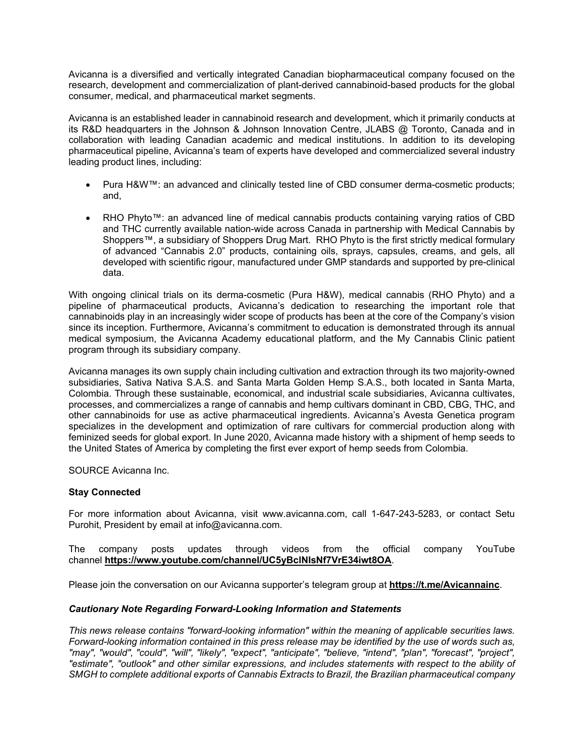Avicanna is a diversified and vertically integrated Canadian biopharmaceutical company focused on the research, development and commercialization of plant-derived cannabinoid-based products for the global consumer, medical, and pharmaceutical market segments.

Avicanna is an established leader in cannabinoid research and development, which it primarily conducts at its R&D headquarters in the Johnson & Johnson Innovation Centre, JLABS @ Toronto, Canada and in collaboration with leading Canadian academic and medical institutions. In addition to its developing pharmaceutical pipeline, Avicanna's team of experts have developed and commercialized several industry leading product lines, including:

- Pura H&W™: an advanced and clinically tested line of CBD consumer derma-cosmetic products; and,
- RHO Phyto™: an advanced line of medical cannabis products containing varying ratios of CBD and THC currently available nation-wide across Canada in partnership with Medical Cannabis by Shoppers™, a subsidiary of Shoppers Drug Mart. RHO Phyto is the first strictly medical formulary of advanced "Cannabis 2.0" products, containing oils, sprays, capsules, creams, and gels, all developed with scientific rigour, manufactured under GMP standards and supported by pre-clinical data.

With ongoing clinical trials on its derma-cosmetic (Pura H&W), medical cannabis (RHO Phyto) and a pipeline of pharmaceutical products, Avicanna's dedication to researching the important role that cannabinoids play in an increasingly wider scope of products has been at the core of the Company's vision since its inception. Furthermore, Avicanna's commitment to education is demonstrated through its annual medical symposium, the Avicanna Academy educational platform, and the My Cannabis Clinic patient program through its subsidiary company.

Avicanna manages its own supply chain including cultivation and extraction through its two majority-owned subsidiaries, Sativa Nativa S.A.S. and Santa Marta Golden Hemp S.A.S., both located in Santa Marta, Colombia. Through these sustainable, economical, and industrial scale subsidiaries, Avicanna cultivates, processes, and commercializes a range of cannabis and hemp cultivars dominant in CBD, CBG, THC, and other cannabinoids for use as active pharmaceutical ingredients. Avicanna's Avesta Genetica program specializes in the development and optimization of rare cultivars for commercial production along with feminized seeds for global export. In June 2020, Avicanna made history with a shipment of hemp seeds to the United States of America by completing the first ever export of hemp seeds from Colombia.

SOURCE Avicanna Inc.

## **Stay Connected**

For more information about Avicanna, visit www.avicanna.com, call 1-647-243-5283, or contact Setu Purohit, President by email at info@avicanna.com.

The company posts updates through videos from the official company YouTube channel **[https://www.youtube.com/channel/UC5yBclNIsNf7VrE34iwt8OA](https://www.globenewswire.com/Tracker?data=Yc3ZROMyC7QpAY2_KXLCl2Rec6EZZXWfb9_EvDgjLIDN27Jkx10sicNV_dugNWMgLftrCb6wrsgWkK8OAEgXNuX_zhu4duEMDe7bw02Cu7iZOHH5e3oXvisxdofSRHuGYFLhQGT3CfOQLB4QDagBho3ogO-xLj2R6sDuxHTpBXYRSGJhYv7z8EeHge_VzRGw)**.

Please join the conversation on our Avicanna supporter's telegram group at **[https://t.me/Avicannainc](https://www.globenewswire.com/Tracker?data=Yc3ZROMyC7QpAY2_KXLClwZ-9P9ZklUgbhQGXzRApkSAE_FZjKINKG7butehjJU8SXRJn8BFwGBjsymUSubppdWw8SgOGqBabvJSPvSoizQ=)**.

## *Cautionary Note Regarding Forward-Looking Information and Statements*

*This news release contains "forward-looking information" within the meaning of applicable securities laws. Forward-looking information contained in this press release may be identified by the use of words such as, "may", "would", "could", "will", "likely", "expect", "anticipate", "believe, "intend", "plan", "forecast", "project", "estimate", "outlook" and other similar expressions, and includes statements with respect to the ability of SMGH to complete additional exports of Cannabis Extracts to Brazil, the Brazilian pharmaceutical company*